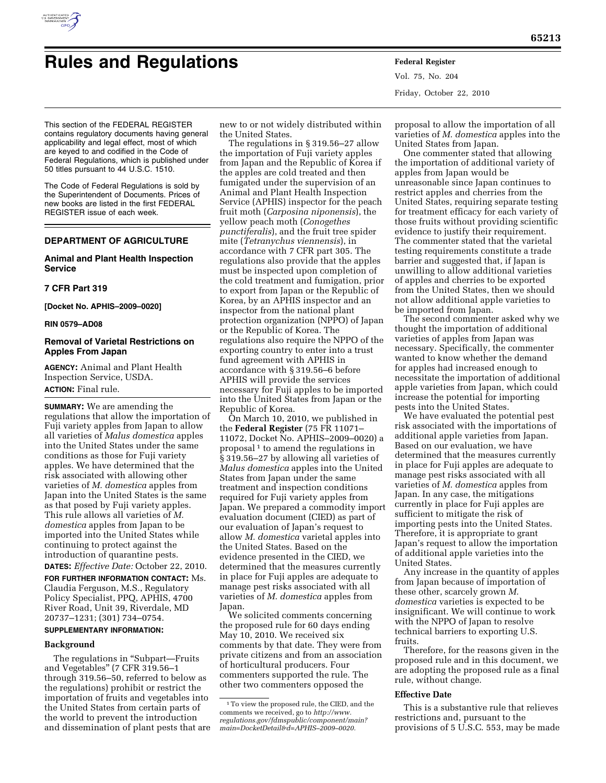

# **Rules and Regulations Federal Register**

Vol. 75, No. 204 Friday, October 22, 2010

This section of the FEDERAL REGISTER contains regulatory documents having general applicability and legal effect, most of which are keyed to and codified in the Code of Federal Regulations, which is published under 50 titles pursuant to 44 U.S.C. 1510.

The Code of Federal Regulations is sold by the Superintendent of Documents. Prices of new books are listed in the first FEDERAL REGISTER issue of each week.

# **DEPARTMENT OF AGRICULTURE**

# **Animal and Plant Health Inspection Service**

## **7 CFR Part 319**

**[Docket No. APHIS–2009–0020]** 

#### **RIN 0579–AD08**

# **Removal of Varietal Restrictions on Apples From Japan**

**AGENCY:** Animal and Plant Health Inspection Service, USDA. **ACTION:** Final rule.

**SUMMARY:** We are amending the regulations that allow the importation of Fuji variety apples from Japan to allow all varieties of *Malus domestica* apples into the United States under the same conditions as those for Fuji variety apples. We have determined that the risk associated with allowing other varieties of *M. domestica* apples from Japan into the United States is the same as that posed by Fuji variety apples. This rule allows all varieties of *M. domestica* apples from Japan to be imported into the United States while continuing to protect against the introduction of quarantine pests.

**DATES:** *Effective Date:* October 22, 2010.

**FOR FURTHER INFORMATION CONTACT:** Ms. Claudia Ferguson, M.S., Regulatory Policy Specialist, PPQ, APHIS, 4700 River Road, Unit 39, Riverdale, MD 20737–1231; (301) 734–0754.

# **SUPPLEMENTARY INFORMATION:**

#### **Background**

The regulations in "Subpart-Fruits and Vegetables'' (7 CFR 319.56–1 through 319.56–50, referred to below as the regulations) prohibit or restrict the importation of fruits and vegetables into the United States from certain parts of the world to prevent the introduction and dissemination of plant pests that are

new to or not widely distributed within the United States.

The regulations in § 319.56–27 allow the importation of Fuji variety apples from Japan and the Republic of Korea if the apples are cold treated and then fumigated under the supervision of an Animal and Plant Health Inspection Service (APHIS) inspector for the peach fruit moth (*Carposina niponensis*), the yellow peach moth (*Conogethes punctiferalis*), and the fruit tree spider mite (*Tetranychus viennensis*), in accordance with 7 CFR part 305. The regulations also provide that the apples must be inspected upon completion of the cold treatment and fumigation, prior to export from Japan or the Republic of Korea, by an APHIS inspector and an inspector from the national plant protection organization (NPPO) of Japan or the Republic of Korea. The regulations also require the NPPO of the exporting country to enter into a trust fund agreement with APHIS in accordance with § 319.56–6 before APHIS will provide the services necessary for Fuji apples to be imported into the United States from Japan or the Republic of Korea.

On March 10, 2010, we published in the **Federal Register** (75 FR 11071– 11072, Docket No. APHIS–2009–0020) a proposal 1 to amend the regulations in § 319.56–27 by allowing all varieties of *Malus domestica* apples into the United States from Japan under the same treatment and inspection conditions required for Fuji variety apples from Japan. We prepared a commodity import evaluation document (CIED) as part of our evaluation of Japan's request to allow *M. domestica* varietal apples into the United States. Based on the evidence presented in the CIED, we determined that the measures currently in place for Fuji apples are adequate to manage pest risks associated with all varieties of *M. domestica* apples from Japan.

We solicited comments concerning the proposed rule for 60 days ending May 10, 2010. We received six comments by that date. They were from private citizens and from an association of horticultural producers. Four commenters supported the rule. The other two commenters opposed the

proposal to allow the importation of all varieties of *M. domestica* apples into the United States from Japan.

One commenter stated that allowing the importation of additional variety of apples from Japan would be unreasonable since Japan continues to restrict apples and cherries from the United States, requiring separate testing for treatment efficacy for each variety of those fruits without providing scientific evidence to justify their requirement. The commenter stated that the varietal testing requirements constitute a trade barrier and suggested that, if Japan is unwilling to allow additional varieties of apples and cherries to be exported from the United States, then we should not allow additional apple varieties to be imported from Japan.

The second commenter asked why we thought the importation of additional varieties of apples from Japan was necessary. Specifically, the commenter wanted to know whether the demand for apples had increased enough to necessitate the importation of additional apple varieties from Japan, which could increase the potential for importing pests into the United States.

We have evaluated the potential pest risk associated with the importations of additional apple varieties from Japan. Based on our evaluation, we have determined that the measures currently in place for Fuji apples are adequate to manage pest risks associated with all varieties of *M. domestica* apples from Japan. In any case, the mitigations currently in place for Fuji apples are sufficient to mitigate the risk of importing pests into the United States. Therefore, it is appropriate to grant Japan's request to allow the importation of additional apple varieties into the United States.

Any increase in the quantity of apples from Japan because of importation of these other, scarcely grown *M. domestica* varieties is expected to be insignificant. We will continue to work with the NPPO of Japan to resolve technical barriers to exporting U.S. fruits.

Therefore, for the reasons given in the proposed rule and in this document, we are adopting the proposed rule as a final rule, without change.

#### **Effective Date**

This is a substantive rule that relieves restrictions and, pursuant to the provisions of 5 U.S.C. 553, may be made

<sup>1</sup>To view the proposed rule, the CIED, and the comments we received, go to *[http://www.](http://www.regulations.gov/fdmspublic/component/main?main=DocketDetail&d=APHIS-2009-0020) [regulations.gov/fdmspublic/component/main?](http://www.regulations.gov/fdmspublic/component/main?main=DocketDetail&d=APHIS-2009-0020) [main=DocketDetail&d=APHIS–2009–0020.](http://www.regulations.gov/fdmspublic/component/main?main=DocketDetail&d=APHIS-2009-0020)*